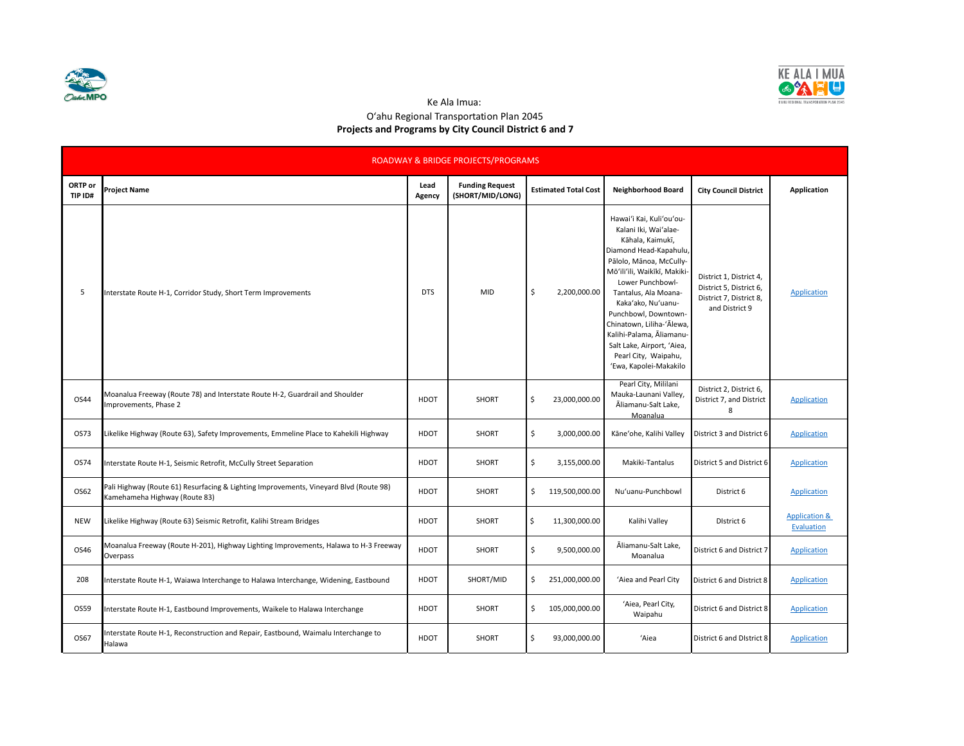



Ke Ala Imua:

## Oʻahu Regional Transportation Plan 2045 **Projects and Programs by City Council District 6 and 7**

| ROADWAY & BRIDGE PROJECTS/PROGRAMS |                                                                                                                        |                |                                            |    |                             |                                                                                                                                                                                                                                                                                                                                                                                               |                                                                                                 |                                        |  |  |  |
|------------------------------------|------------------------------------------------------------------------------------------------------------------------|----------------|--------------------------------------------|----|-----------------------------|-----------------------------------------------------------------------------------------------------------------------------------------------------------------------------------------------------------------------------------------------------------------------------------------------------------------------------------------------------------------------------------------------|-------------------------------------------------------------------------------------------------|----------------------------------------|--|--|--|
| ORTP or<br>TIP ID#                 | <b>Project Name</b>                                                                                                    | Lead<br>Agency | <b>Funding Request</b><br>(SHORT/MID/LONG) |    | <b>Estimated Total Cost</b> | Neighborhood Board                                                                                                                                                                                                                                                                                                                                                                            | <b>City Council District</b>                                                                    | Application                            |  |  |  |
| 5                                  | Interstate Route H-1, Corridor Study, Short Term Improvements                                                          | <b>DTS</b>     | MID                                        | \$ | 2,200,000.00                | Hawai'i Kai, Kuli'ou'ou-<br>Kalani Iki, Wai'alae-<br>Kāhala, Kaimukī,<br>Diamond Head-Kapahulu,<br>Pālolo, Mānoa, McCully-<br>Mō'ili'ili, Waikīkī, Makiki-<br>Lower Punchbowl-<br>Tantalus, Ala Moana-<br>Kaka'ako, Nu'uanu-<br>Punchbowl, Downtown-<br>Chinatown, Liliha-'Ālewa,<br>Kalihi-Palama, Āliamanu-<br>Salt Lake, Airport, 'Aiea,<br>Pearl City, Waipahu,<br>'Ewa, Kapolei-Makakilo | District 1, District 4,<br>District 5, District 6,<br>District 7, District 8,<br>and District 9 | <b>Application</b>                     |  |  |  |
| OS44                               | Moanalua Freeway (Route 78) and Interstate Route H-2, Guardrail and Shoulder<br>mprovements, Phase 2                   | HDOT           | SHORT                                      | \$ | 23,000,000.00               | Pearl City, Mililani<br>Mauka-Launani Valley,<br>Āliamanu-Salt Lake,<br>Moanalua                                                                                                                                                                                                                                                                                                              | District 2, District 6,<br>District 7, and District<br>8                                        | Application                            |  |  |  |
| OS73                               | Likelike Highway (Route 63), Safety Improvements, Emmeline Place to Kahekili Highway                                   | HDOT           | <b>SHORT</b>                               | \$ | 3,000,000.00                | Käne'ohe, Kalihi Valley                                                                                                                                                                                                                                                                                                                                                                       | District 3 and District 6                                                                       | <b>Application</b>                     |  |  |  |
| OS74                               | Interstate Route H-1, Seismic Retrofit, McCully Street Separation                                                      | HDOT           | <b>SHORT</b>                               | \$ | 3,155,000.00                | Makiki-Tantalus                                                                                                                                                                                                                                                                                                                                                                               | District 5 and District 6                                                                       | <b>Application</b>                     |  |  |  |
| OS62                               | Pali Highway (Route 61) Resurfacing & Lighting Improvements, Vineyard Blvd (Route 98)<br>Kamehameha Highway (Route 83) | HDOT           | SHORT                                      | \$ | 119,500,000.00              | Nu'uanu-Punchbowl                                                                                                                                                                                                                                                                                                                                                                             | District 6                                                                                      | <b>Application</b>                     |  |  |  |
| <b>NEW</b>                         | Likelike Highway (Route 63) Seismic Retrofit, Kalihi Stream Bridges                                                    | HDOT           | SHORT                                      | \$ | 11,300,000.00               | Kalihi Valley                                                                                                                                                                                                                                                                                                                                                                                 | District 6                                                                                      | <b>Application &amp;</b><br>Evaluation |  |  |  |
| OS46                               | Moanalua Freeway (Route H-201), Highway Lighting Improvements, Halawa to H-3 Freeway<br>Overpass                       | HDOT           | SHORT                                      | \$ | 9,500,000.00                | Āliamanu-Salt Lake,<br>Moanalua                                                                                                                                                                                                                                                                                                                                                               | District 6 and District 7                                                                       | <b>Application</b>                     |  |  |  |
| 208                                | Interstate Route H-1, Waiawa Interchange to Halawa Interchange, Widening, Eastbound                                    | HDOT           | SHORT/MID                                  | \$ | 251,000,000.00              | 'Aiea and Pearl City                                                                                                                                                                                                                                                                                                                                                                          | District 6 and District 8                                                                       | <b>Application</b>                     |  |  |  |
| OS59                               | Interstate Route H-1, Eastbound Improvements, Waikele to Halawa Interchange                                            | HDOT           | SHORT                                      | \$ | 105,000,000.00              | 'Aiea, Pearl City,<br>Waipahu                                                                                                                                                                                                                                                                                                                                                                 | District 6 and District 8                                                                       | <b>Application</b>                     |  |  |  |
| OS67                               | Interstate Route H-1, Reconstruction and Repair, Eastbound, Waimalu Interchange to<br>Halawa                           | HDOT           | <b>SHORT</b>                               | \$ | 93,000,000.00               | 'Aiea                                                                                                                                                                                                                                                                                                                                                                                         | District 6 and District 8                                                                       | <b>Application</b>                     |  |  |  |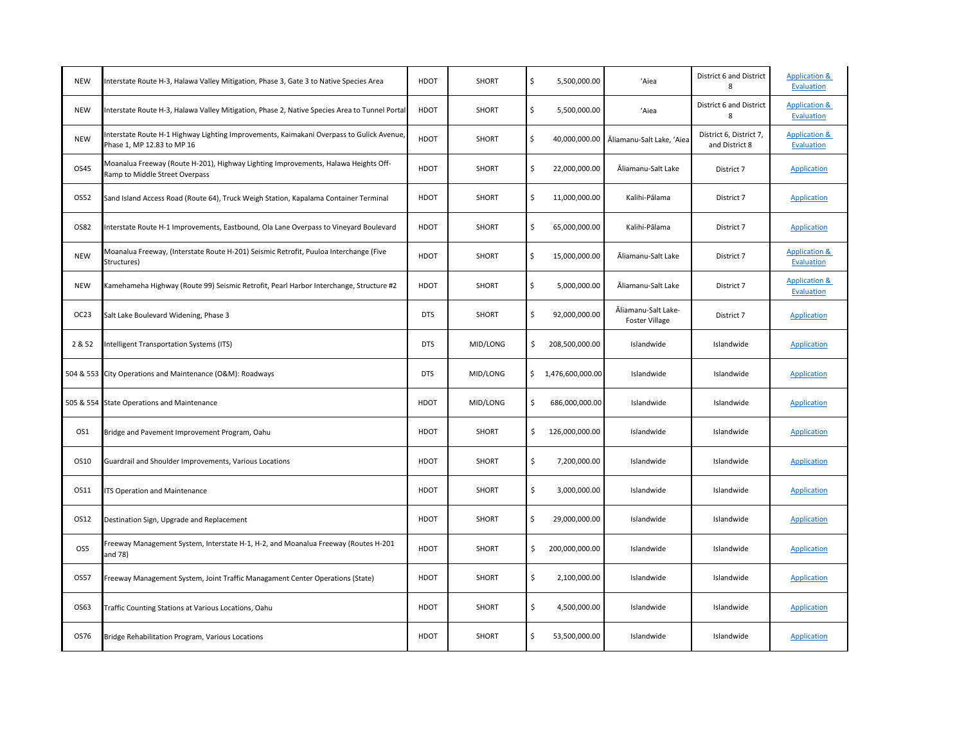| <b>NEW</b>       | Interstate Route H-3, Halawa Valley Mitigation, Phase 3, Gate 3 to Native Species Area                                 | <b>HDOT</b> | <b>SHORT</b> | \$ | 5,500,000.00       | 'Aiea                                        | District 6 and District<br>8              | <b>Application &amp;</b><br>Evaluation |
|------------------|------------------------------------------------------------------------------------------------------------------------|-------------|--------------|----|--------------------|----------------------------------------------|-------------------------------------------|----------------------------------------|
| <b>NEW</b>       | Interstate Route H-3, Halawa Valley Mitigation, Phase 2, Native Species Area to Tunnel Portal                          | HDOT        | SHORT        | \$ | 5,500,000.00       | 'Aiea                                        | District 6 and District<br>8              | <b>Application &amp;</b><br>Evaluation |
| <b>NEW</b>       | Interstate Route H-1 Highway Lighting Improvements, Kaimakani Overpass to Gulick Avenue,<br>Phase 1, MP 12.83 to MP 16 | HDOT        | <b>SHORT</b> | \$ | 40,000,000.00      | Āliamanu-Salt Lake, 'Aiea                    | District 6, District 7,<br>and District 8 | <b>Application &amp;</b><br>Evaluation |
| OS45             | Moanalua Freeway (Route H-201), Highway Lighting Improvements, Halawa Heights Off-<br>Ramp to Middle Street Overpass   | <b>HDOT</b> | SHORT        | \$ | 22,000,000.00      | Āliamanu-Salt Lake                           | District 7                                | Application                            |
| OS52             | Sand Island Access Road (Route 64), Truck Weigh Station, Kapalama Container Terminal                                   | <b>HDOT</b> | <b>SHORT</b> | \$ | 11,000,000.00      | Kalihi-Pālama                                | District 7                                | Application                            |
| OS82             | Interstate Route H-1 Improvements, Eastbound, Ola Lane Overpass to Vineyard Boulevard                                  | <b>HDOT</b> | SHORT        | \$ | 65,000,000.00      | Kalihi-Pālama                                | District 7                                | Application                            |
| <b>NEW</b>       | Moanalua Freeway, (Interstate Route H-201) Seismic Retrofit, Puuloa Interchange (Five<br>Structures)                   | <b>HDOT</b> | <b>SHORT</b> | Ś  | 15,000,000.00      | Āliamanu-Salt Lake                           | District 7                                | <b>Application &amp;</b><br>Evaluation |
| <b>NEW</b>       | Kamehameha Highway (Route 99) Seismic Retrofit, Pearl Harbor Interchange, Structure #2                                 | <b>HDOT</b> | <b>SHORT</b> | \$ | 5,000,000.00       | Aliamanu-Salt Lake                           | District 7                                | <b>Application &amp;</b><br>Evaluation |
| OC <sub>23</sub> | Salt Lake Boulevard Widening, Phase 3                                                                                  | <b>DTS</b>  | SHORT        | \$ | 92,000,000.00      | Āliamanu-Salt Lake-<br><b>Foster Village</b> | District 7                                | <b>Application</b>                     |
| 2 & 52           | Intelligent Transportation Systems (ITS)                                                                               | <b>DTS</b>  | MID/LONG     | \$ | 208,500,000.00     | Islandwide                                   | Islandwide                                | Application                            |
|                  | 504 & 553 City Operations and Maintenance (O&M): Roadways                                                              | <b>DTS</b>  | MID/LONG     |    | \$1,476,600,000.00 | Islandwide                                   | Islandwide                                | <b>Application</b>                     |
|                  | 505 & 554 State Operations and Maintenance                                                                             | HDOT        | MID/LONG     | \$ | 686,000,000.00     | Islandwide                                   | Islandwide                                | Application                            |
| OS1              | Bridge and Pavement Improvement Program, Oahu                                                                          | HDOT        | <b>SHORT</b> | \$ | 126,000,000.00     | Islandwide                                   | Islandwide                                | Application                            |
| OS10             | Guardrail and Shoulder Improvements, Various Locations                                                                 | <b>HDOT</b> | <b>SHORT</b> | \$ | 7,200,000.00       | Islandwide                                   | Islandwide                                | Application                            |
| OS11             | ITS Operation and Maintenance                                                                                          | HDOT        | <b>SHORT</b> | \$ | 3,000,000.00       | Islandwide                                   | Islandwide                                | Application                            |
| OS12             | Destination Sign, Upgrade and Replacement                                                                              | <b>HDOT</b> | SHORT        | \$ | 29,000,000.00      | Islandwide                                   | Islandwide                                | Application                            |
| OS5              | Freeway Management System, Interstate H-1, H-2, and Moanalua Freeway (Routes H-201<br>and 78)                          | <b>HDOT</b> | <b>SHORT</b> | \$ | 200,000,000.00     | Islandwide                                   | Islandwide                                | Application                            |
| OS57             | Freeway Management System, Joint Traffic Managament Center Operations (State)                                          | <b>HDOT</b> | SHORT        | \$ | 2,100,000.00       | Islandwide                                   | Islandwide                                | Application                            |
| OS63             | Traffic Counting Stations at Various Locations, Oahu                                                                   | <b>HDOT</b> | <b>SHORT</b> | \$ | 4,500,000.00       | Islandwide                                   | Islandwide                                | Application                            |
| OS76             | Bridge Rehabilitation Program, Various Locations                                                                       | <b>HDOT</b> | <b>SHORT</b> | \$ | 53,500,000.00      | Islandwide                                   | Islandwide                                | Application                            |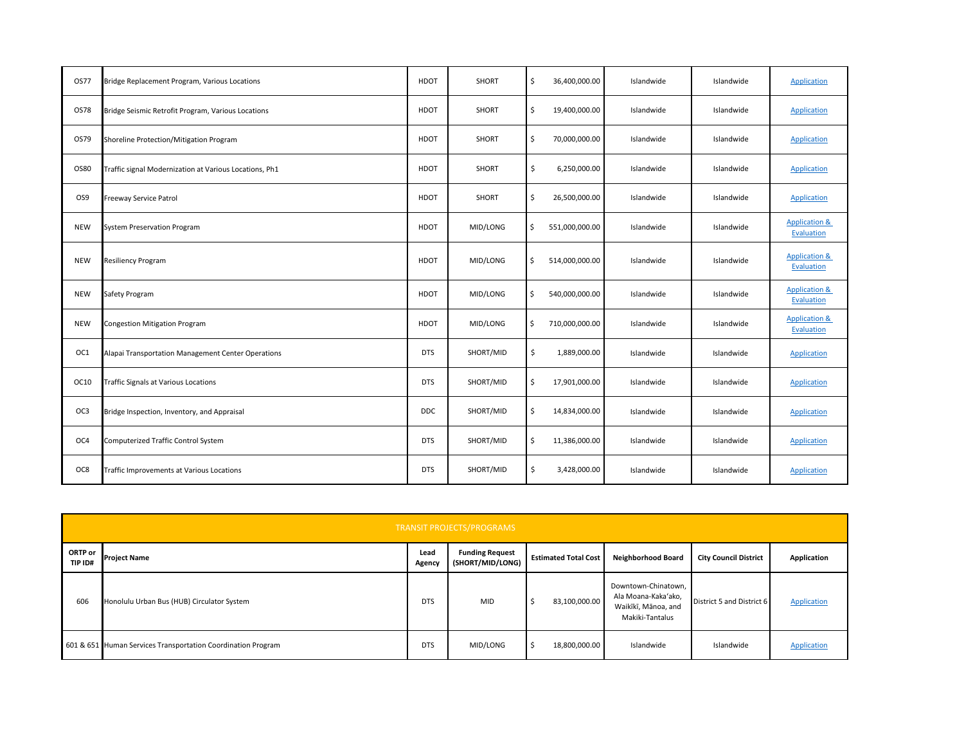| <b>OS77</b> | Bridge Replacement Program, Various Locations          | HDOT        | SHORT     | \$                  | 36,400,000.00  | Islandwide | Islandwide | Application                            |
|-------------|--------------------------------------------------------|-------------|-----------|---------------------|----------------|------------|------------|----------------------------------------|
| OS78        | Bridge Seismic Retrofit Program, Various Locations     | <b>HDOT</b> | SHORT     | \$                  | 19,400,000.00  | Islandwide | Islandwide | <b>Application</b>                     |
| OS79        | Shoreline Protection/Mitigation Program                | HDOT        | SHORT     | \$                  | 70,000,000.00  | Islandwide | Islandwide | <b>Application</b>                     |
| OS80        | Traffic signal Modernization at Various Locations, Ph1 | HDOT        | SHORT     | \$                  | 6,250,000.00   | Islandwide | Islandwide | Application                            |
| OS9         | Freeway Service Patrol                                 | HDOT        | SHORT     | \$                  | 26,500,000.00  | Islandwide | Islandwide | Application                            |
| <b>NEW</b>  | <b>System Preservation Program</b>                     | HDOT        | MID/LONG  | \$                  | 551,000,000.00 | Islandwide | Islandwide | <b>Application &amp;</b><br>Evaluation |
| <b>NEW</b>  | <b>Resiliency Program</b>                              | HDOT        | MID/LONG  | \$                  | 514,000,000.00 | Islandwide | Islandwide | <b>Application &amp;</b><br>Evaluation |
| <b>NEW</b>  | Safety Program                                         | <b>HDOT</b> | MID/LONG  | \$                  | 540,000,000.00 | Islandwide | Islandwide | <b>Application &amp;</b><br>Evaluation |
| <b>NEW</b>  | Congestion Mitigation Program                          | HDOT        | MID/LONG  | \$                  | 710,000,000.00 | Islandwide | Islandwide | <b>Application &amp;</b><br>Evaluation |
| OC1         | Alapai Transportation Management Center Operations     | <b>DTS</b>  | SHORT/MID | \$                  | 1,889,000.00   | Islandwide | Islandwide | Application                            |
| OC10        | Traffic Signals at Various Locations                   | <b>DTS</b>  | SHORT/MID | \$                  | 17,901,000.00  | Islandwide | Islandwide | <b>Application</b>                     |
| OC3         | Bridge Inspection, Inventory, and Appraisal            | <b>DDC</b>  | SHORT/MID | \$                  | 14,834,000.00  | Islandwide | Islandwide | Application                            |
| OC4         | Computerized Traffic Control System                    | <b>DTS</b>  | SHORT/MID | $\ddot{\mathsf{S}}$ | 11,386,000.00  | Islandwide | Islandwide | Application                            |
| OC8         | Traffic Improvements at Various Locations              | <b>DTS</b>  | SHORT/MID | \$                  | 3,428,000.00   | Islandwide | Islandwide | <b>Application</b>                     |

|                    | <b>TRANSIT PROJECTS/PROGRAMS</b>                             |                |                                            |    |                             |                                                                                      |                              |             |  |  |  |
|--------------------|--------------------------------------------------------------|----------------|--------------------------------------------|----|-----------------------------|--------------------------------------------------------------------------------------|------------------------------|-------------|--|--|--|
| ORTP or<br>TIP ID# | <b>Project Name</b>                                          | Lead<br>Agency | <b>Funding Request</b><br>(SHORT/MID/LONG) |    | <b>Estimated Total Cost</b> | <b>Neighborhood Board</b>                                                            | <b>City Council District</b> | Application |  |  |  |
| 606                | Honolulu Urban Bus (HUB) Circulator System                   | <b>DTS</b>     | MID                                        | -2 | 83,100,000.00               | Downtown-Chinatown,<br>Ala Moana-Kaka'ako,<br>Waikīkī, Mānoa, and<br>Makiki-Tantalus | District 5 and District 6    | Application |  |  |  |
|                    | 601 & 651 Human Services Transportation Coordination Program | <b>DTS</b>     | MID/LONG                                   |    | 18,800,000.00               | Islandwide                                                                           | Islandwide                   | Application |  |  |  |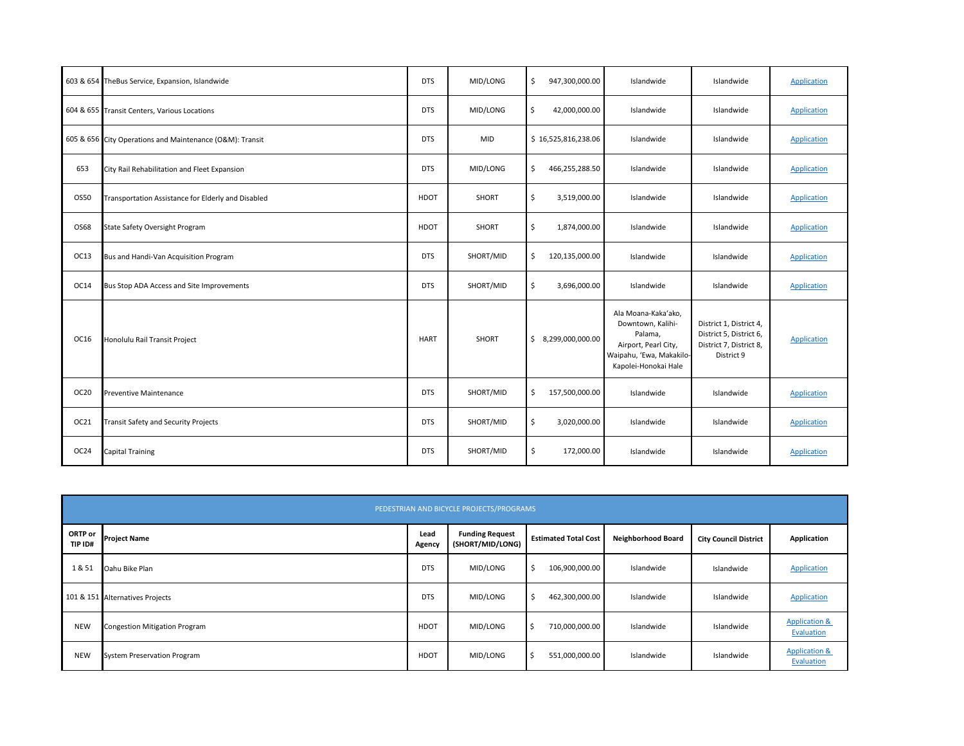|                  | 603 & 654 TheBus Service, Expansion, Islandwide          | <b>DTS</b>  | MID/LONG  | \$<br>947,300,000.00 | Islandwide                                                                                                                      | Islandwide                                                                                  | Application |
|------------------|----------------------------------------------------------|-------------|-----------|----------------------|---------------------------------------------------------------------------------------------------------------------------------|---------------------------------------------------------------------------------------------|-------------|
|                  | 604 & 655 Transit Centers, Various Locations             | <b>DTS</b>  | MID/LONG  | \$<br>42,000,000.00  | Islandwide                                                                                                                      | Islandwide                                                                                  | Application |
|                  | 605 & 656 City Operations and Maintenance (O&M): Transit | <b>DTS</b>  | MID       | \$16,525,816,238.06  | Islandwide                                                                                                                      | Islandwide                                                                                  | Application |
| 653              | City Rail Rehabilitation and Fleet Expansion             | <b>DTS</b>  | MID/LONG  | \$<br>466,255,288.50 | Islandwide                                                                                                                      | Islandwide                                                                                  | Application |
| OS50             | Transportation Assistance for Elderly and Disabled       | <b>HDOT</b> | SHORT     | \$<br>3,519,000.00   | Islandwide                                                                                                                      | Islandwide                                                                                  | Application |
| OS68             | State Safety Oversight Program                           | <b>HDOT</b> | SHORT     | \$<br>1,874,000.00   | Islandwide                                                                                                                      | Islandwide                                                                                  | Application |
| OC13             | Bus and Handi-Van Acquisition Program                    | <b>DTS</b>  | SHORT/MID | \$<br>120,135,000.00 | Islandwide                                                                                                                      | Islandwide                                                                                  | Application |
| OC14             | Bus Stop ADA Access and Site Improvements                | <b>DTS</b>  | SHORT/MID | \$<br>3,696,000.00   | Islandwide                                                                                                                      | Islandwide                                                                                  | Application |
| OC16             | Honolulu Rail Transit Project                            | <b>HART</b> | SHORT     | \$3,299,000,000.00   | Ala Moana-Kaka'ako,<br>Downtown, Kalihi-<br>Palama,<br>Airport, Pearl City,<br>Waipahu, 'Ewa, Makakilo-<br>Kapolei-Honokai Hale | District 1, District 4,<br>District 5, District 6,<br>District 7, District 8,<br>District 9 | Application |
| OC20             | <b>Preventive Maintenance</b>                            | <b>DTS</b>  | SHORT/MID | 157,500,000.00<br>\$ | Islandwide                                                                                                                      | Islandwide                                                                                  | Application |
| OC21             | <b>Transit Safety and Security Projects</b>              | <b>DTS</b>  | SHORT/MID | \$<br>3,020,000.00   | Islandwide                                                                                                                      | Islandwide                                                                                  | Application |
| OC <sub>24</sub> | <b>Capital Training</b>                                  | <b>DTS</b>  | SHORT/MID | Ś.<br>172,000.00     | Islandwide                                                                                                                      | Islandwide                                                                                  | Application |

| PEDESTRIAN AND BICYCLE PROJECTS/PROGRAMS |                                    |                |                                            |    |                             |                           |                              |                                        |  |  |
|------------------------------------------|------------------------------------|----------------|--------------------------------------------|----|-----------------------------|---------------------------|------------------------------|----------------------------------------|--|--|
| ORTP or<br>TIP ID#                       | <b>Project Name</b>                | Lead<br>Agency | <b>Funding Request</b><br>(SHORT/MID/LONG) |    | <b>Estimated Total Cost</b> | <b>Neighborhood Board</b> | <b>City Council District</b> | Application                            |  |  |
| 1 & 51                                   | Oahu Bike Plan                     | <b>DTS</b>     | MID/LONG                                   | -S | 106,900,000.00              | Islandwide                | Islandwide                   | <b>Application</b>                     |  |  |
|                                          | 101 & 151 Alternatives Projects    | <b>DTS</b>     | MID/LONG                                   | S. | 462,300,000.00              | Islandwide                | Islandwide                   | Application                            |  |  |
| <b>NEW</b>                               | Congestion Mitigation Program      | <b>HDOT</b>    | MID/LONG                                   |    | 710,000,000.00              | Islandwide                | Islandwide                   | <b>Application &amp;</b><br>Evaluation |  |  |
| <b>NEW</b>                               | <b>System Preservation Program</b> | <b>HDOT</b>    | MID/LONG                                   |    | 551,000,000.00              | Islandwide                | Islandwide                   | <b>Application &amp;</b><br>Evaluation |  |  |